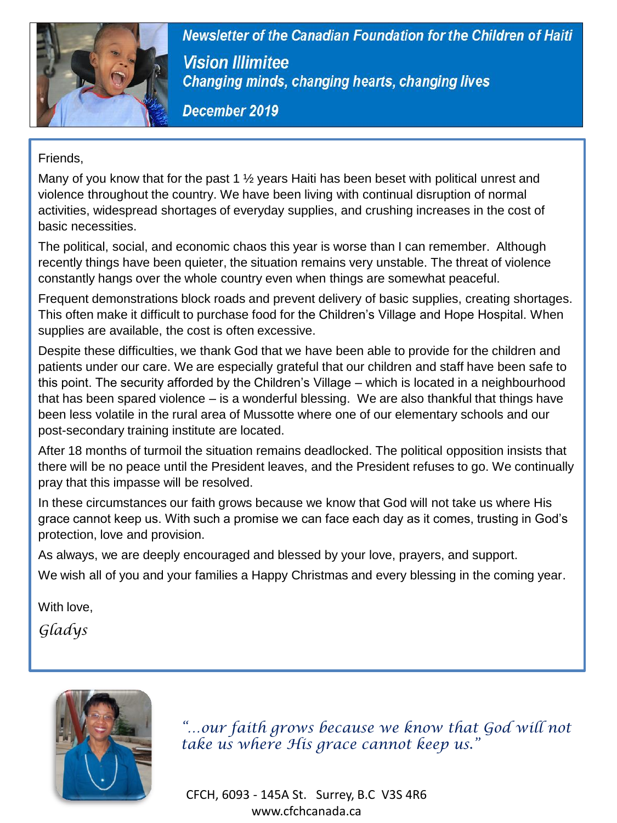

Newsletter of the Canadian Foundation for the Children of Haiti

**Vision Illimitee** 

Friends,

Many of you know that for the past 1  $\frac{1}{2}$  years Haiti has been beset with political unrest and violence throughout the country. We have been living with continual disruption of normal activities, widespread shortages of everyday supplies, and crushing increases in the cost of basic necessities.

The political, social, and economic chaos this year is worse than I can remember. Although recently things have been quieter, the situation remains very unstable. The threat of violence constantly hangs over the whole country even when things are somewhat peaceful.

Frequent demonstrations block roads and prevent delivery of basic supplies, creating shortages. This often make it difficult to purchase food for the Children's Village and Hope Hospital. When supplies are available, the cost is often excessive.

Despite these difficulties, we thank God that we have been able to provide for the children and patients under our care. We are especially grateful that our children and staff have been safe to this point. The security afforded by the Children's Village – which is located in a neighbourhood that has been spared violence – is a wonderful blessing. We are also thankful that things have been less volatile in the rural area of Mussotte where one of our elementary schools and our post-secondary training institute are located.

After 18 months of turmoil the situation remains deadlocked. The political opposition insists that there will be no peace until the President leaves, and the President refuses to go. We continually pray that this impasse will be resolved.

In these circumstances our faith grows because we know that God will not take us where His grace cannot keep us. With such a promise we can face each day as it comes, trusting in God's protection, love and provision.

As always, we are deeply encouraged and blessed by your love, prayers, and support.

We wish all of you and your families a Happy Christmas and every blessing in the coming year.

With love.

*Gladys*



*"…our faith grows because we know that God will not take us where His grace cannot keep us."*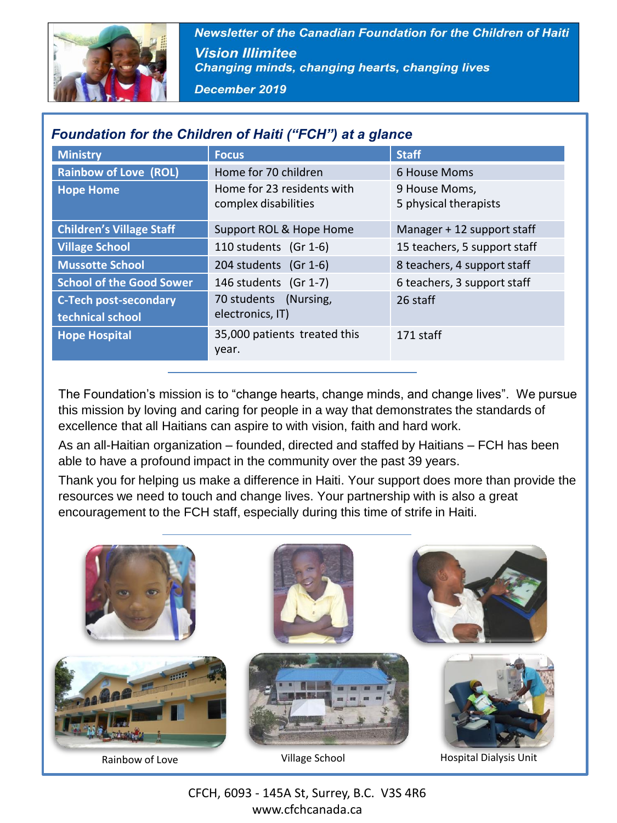

Newsletter of the Canadian Foundation for the Children of Haiti **Vision Illimitee Changing minds, changing hearts, changing lives** 

December 2019

| Foundation for the Children of Haiti ("FCH") at a glance |                                                    |                                        |
|----------------------------------------------------------|----------------------------------------------------|----------------------------------------|
| <b>Ministry</b>                                          | <b>Focus</b>                                       | <b>Staff</b>                           |
| <b>Rainbow of Love (ROL)</b>                             | Home for 70 children                               | 6 House Moms                           |
| <b>Hope Home</b>                                         | Home for 23 residents with<br>complex disabilities | 9 House Moms.<br>5 physical therapists |
| <b>Children's Village Staff</b>                          | Support ROL & Hope Home                            | Manager + 12 support staff             |
| <b>Village School</b>                                    | 110 students (Gr 1-6)                              | 15 teachers, 5 support staff           |
| <b>Mussotte School</b>                                   | 204 students (Gr 1-6)                              | 8 teachers, 4 support staff            |
| <b>School of the Good Sower</b>                          | 146 students (Gr 1-7)                              | 6 teachers, 3 support staff            |
| <b>C-Tech post-secondary</b><br>technical school         | 70 students<br>(Nursing,<br>electronics, IT)       | 26 staff                               |
| <b>Hope Hospital</b>                                     | 35,000 patients treated this<br>year.              | 171 staff                              |

### *Foundation for the Children of Haiti ("FCH") at a glance*

The Foundation's mission is to "change hearts, change minds, and change lives". We pursue this mission by loving and caring for people in a way that demonstrates the standards of excellence that all Haitians can aspire to with vision, faith and hard work.

As an all-Haitian organization – founded, directed and staffed by Haitians – FCH has been able to have a profound impact in the community over the past 39 years.

Thank you for helping us make a difference in Haiti. Your support does more than provide the resources we need to touch and change lives. Your partnership with is also a great encouragement to the FCH staff, especially during this time of strife in Haiti.



CFCH, 6093 - 145A St, Surrey, B.C. V3S 4R6 www.cfchcanada.ca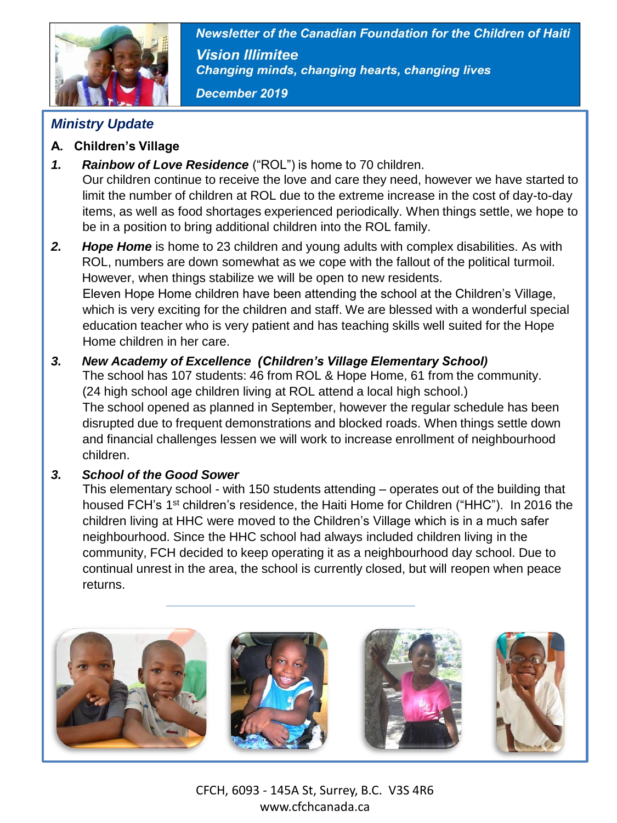

Newsletter of the Canadian Foundation for the Children of Haiti **Vision Illimitee Changing minds, changing hearts, changing lives** 

December 2019

## *Ministry Update*

- **A. Children's Village**
- *1. Rainbow of Love Residence* ("ROL") is home to 70 children. Our children continue to receive the love and care they need, however we have started to limit the number of children at ROL due to the extreme increase in the cost of day-to-day items, as well as food shortages experienced periodically. When things settle, we hope to be in a position to bring additional children into the ROL family.
- *2. Hope Home* is home to 23 children and young adults with complex disabilities. As with ROL, numbers are down somewhat as we cope with the fallout of the political turmoil. However, when things stabilize we will be open to new residents. Eleven Hope Home children have been attending the school at the Children's Village, which is very exciting for the children and staff. We are blessed with a wonderful special education teacher who is very patient and has teaching skills well suited for the Hope Home children in her care.
- *3. New Academy of Excellence (Children's Village Elementary School)* The school has 107 students: 46 from ROL & Hope Home, 61 from the community.

(24 high school age children living at ROL attend a local high school.) The school opened as planned in September, however the regular schedule has been disrupted due to frequent demonstrations and blocked roads. When things settle down and financial challenges lessen we will work to increase enrollment of neighbourhood children.

### *3. School of the Good Sower*

This elementary school - with 150 students attending – operates out of the building that housed FCH's 1<sup>st</sup> children's residence, the Haiti Home for Children ("HHC"). In 2016 the children living at HHC were moved to the Children's Village which is in a much safer neighbourhood. Since the HHC school had always included children living in the community, FCH decided to keep operating it as a neighbourhood day school. Due to continual unrest in the area, the school is currently closed, but will reopen when peace returns.



CFCH, 6093 - 145A St, Surrey, B.C. V3S 4R6 www.cfchcanada.ca